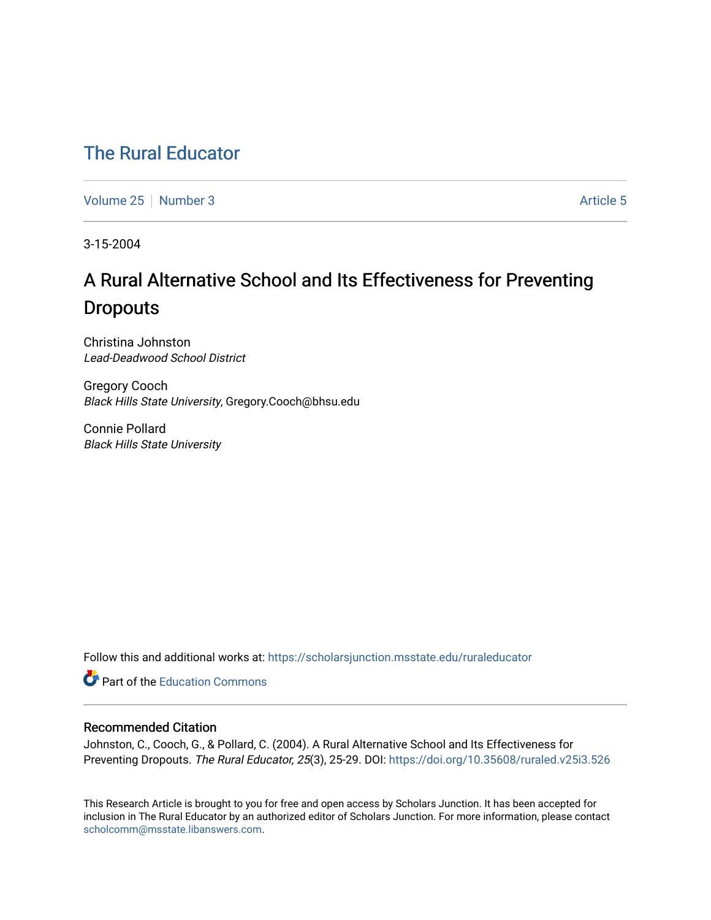## [The Rural Educator](https://scholarsjunction.msstate.edu/ruraleducator)

[Volume 25](https://scholarsjunction.msstate.edu/ruraleducator/vol25) [Number 3](https://scholarsjunction.msstate.edu/ruraleducator/vol25/iss3) [Article 5](https://scholarsjunction.msstate.edu/ruraleducator/vol25/iss3/5) Article 5

3-15-2004

# A Rural Alternative School and Its Effectiveness for Preventing **Dropouts**

Christina Johnston Lead-Deadwood School District

Gregory Cooch Black Hills State University, Gregory.Cooch@bhsu.edu

Connie Pollard Black Hills State University

Follow this and additional works at: [https://scholarsjunction.msstate.edu/ruraleducator](https://scholarsjunction.msstate.edu/ruraleducator?utm_source=scholarsjunction.msstate.edu%2Fruraleducator%2Fvol25%2Fiss3%2F5&utm_medium=PDF&utm_campaign=PDFCoverPages)

**C** Part of the [Education Commons](http://network.bepress.com/hgg/discipline/784?utm_source=scholarsjunction.msstate.edu%2Fruraleducator%2Fvol25%2Fiss3%2F5&utm_medium=PDF&utm_campaign=PDFCoverPages)

### Recommended Citation

Johnston, C., Cooch, G., & Pollard, C. (2004). A Rural Alternative School and Its Effectiveness for Preventing Dropouts. The Rural Educator, 25(3), 25-29. DOI: https://doi.org/10.35608/ruraled.v25i3.526

This Research Article is brought to you for free and open access by Scholars Junction. It has been accepted for inclusion in The Rural Educator by an authorized editor of Scholars Junction. For more information, please contact [scholcomm@msstate.libanswers.com.](mailto:scholcomm@msstate.libanswers.com)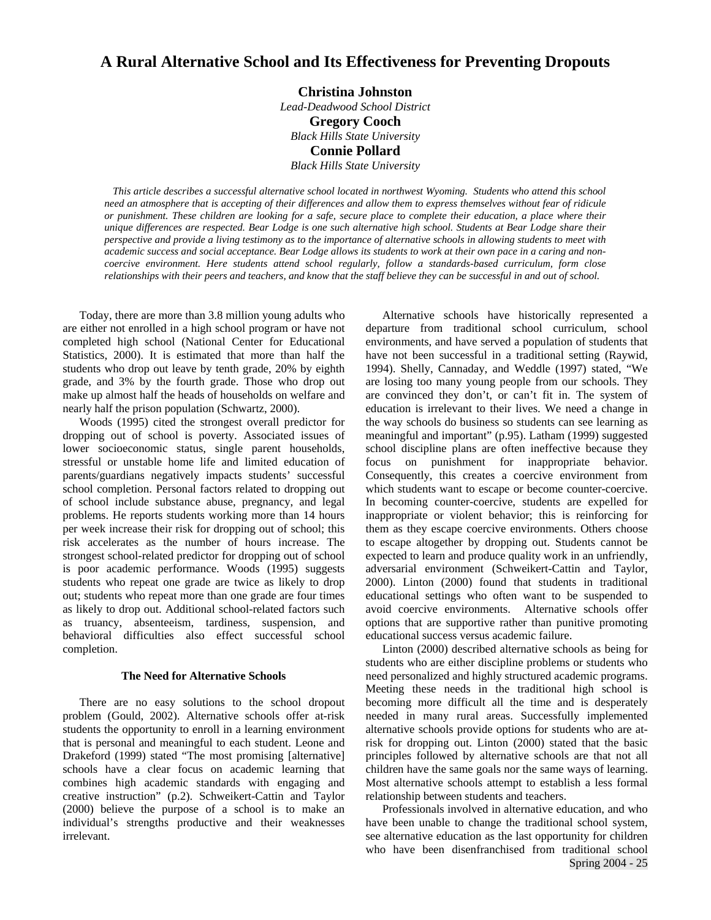## **A Rural Alternative School and Its Effectiveness for Preventing Dropouts**

#### **Christina Johnston**

*Lead-Deadwood School District*  **Gregory Cooch** *Black Hills State University*  **Connie Pollard** *Black Hills State University* 

 *This article describes a successful alternative school located in northwest Wyoming. Students who attend this school need an atmosphere that is accepting of their differences and allow them to express themselves without fear of ridicule or punishment. These children are looking for a safe, secure place to complete their education, a place where their unique differences are respected. Bear Lodge is one such alternative high school. Students at Bear Lodge share their perspective and provide a living testimony as to the importance of alternative schools in allowing students to meet with academic success and social acceptance. Bear Lodge allows its students to work at their own pace in a caring and noncoercive environment. Here students attend school regularly, follow a standards-based curriculum, form close relationships with their peers and teachers, and know that the staff believe they can be successful in and out of school.*

Today, there are more than 3.8 million young adults who are either not enrolled in a high school program or have not completed high school (National Center for Educational Statistics, 2000). It is estimated that more than half the students who drop out leave by tenth grade, 20% by eighth grade, and 3% by the fourth grade. Those who drop out make up almost half the heads of households on welfare and nearly half the prison population (Schwartz, 2000).

Woods (1995) cited the strongest overall predictor for dropping out of school is poverty. Associated issues of lower socioeconomic status, single parent households, stressful or unstable home life and limited education of parents/guardians negatively impacts students' successful school completion. Personal factors related to dropping out of school include substance abuse, pregnancy, and legal problems. He reports students working more than 14 hours per week increase their risk for dropping out of school; this risk accelerates as the number of hours increase. The strongest school-related predictor for dropping out of school is poor academic performance. Woods (1995) suggests students who repeat one grade are twice as likely to drop out; students who repeat more than one grade are four times as likely to drop out. Additional school-related factors such as truancy, absenteeism, tardiness, suspension, and behavioral difficulties also effect successful school completion.

#### **The Need for Alternative Schools**

There are no easy solutions to the school dropout problem (Gould, 2002). Alternative schools offer at-risk students the opportunity to enroll in a learning environment that is personal and meaningful to each student. Leone and Drakeford (1999) stated "The most promising [alternative] schools have a clear focus on academic learning that combines high academic standards with engaging and creative instruction" (p.2). Schweikert-Cattin and Taylor (2000) believe the purpose of a school is to make an individual's strengths productive and their weaknesses irrelevant.

Alternative schools have historically represented a departure from traditional school curriculum, school environments, and have served a population of students that have not been successful in a traditional setting (Raywid, 1994). Shelly, Cannaday, and Weddle (1997) stated, "We are losing too many young people from our schools. They are convinced they don't, or can't fit in. The system of education is irrelevant to their lives. We need a change in the way schools do business so students can see learning as meaningful and important" (p.95). Latham (1999) suggested school discipline plans are often ineffective because they focus on punishment for inappropriate behavior. Consequently, this creates a coercive environment from which students want to escape or become counter-coercive. In becoming counter-coercive, students are expelled for inappropriate or violent behavior; this is reinforcing for them as they escape coercive environments. Others choose to escape altogether by dropping out. Students cannot be expected to learn and produce quality work in an unfriendly, adversarial environment (Schweikert-Cattin and Taylor, 2000). Linton (2000) found that students in traditional educational settings who often want to be suspended to avoid coercive environments. Alternative schools offer options that are supportive rather than punitive promoting educational success versus academic failure.

Linton (2000) described alternative schools as being for students who are either discipline problems or students who need personalized and highly structured academic programs. Meeting these needs in the traditional high school is becoming more difficult all the time and is desperately needed in many rural areas. Successfully implemented alternative schools provide options for students who are atrisk for dropping out. Linton (2000) stated that the basic principles followed by alternative schools are that not all children have the same goals nor the same ways of learning. Most alternative schools attempt to establish a less formal relationship between students and teachers.

Spring 2004 - 25 Professionals involved in alternative education, and who have been unable to change the traditional school system, see alternative education as the last opportunity for children who have been disenfranchised from traditional school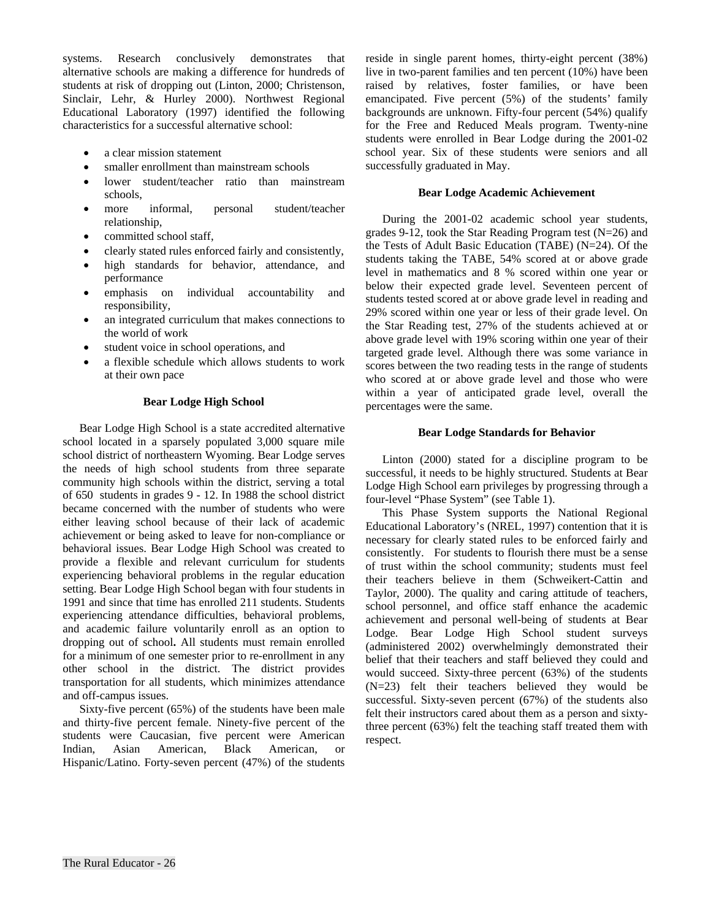systems. Research conclusively demonstrates that alternative schools are making a difference for hundreds of students at risk of dropping out (Linton, 2000; Christenson, Sinclair, Lehr, & Hurley 2000). Northwest Regional Educational Laboratory (1997) identified the following characteristics for a successful alternative school:

- a clear mission statement
- smaller enrollment than mainstream schools
- lower student/teacher ratio than mainstream schools,
- more informal, personal student/teacher relationship,
- committed school staff,
- clearly stated rules enforced fairly and consistently,
- high standards for behavior, attendance, and performance
- emphasis on individual accountability and responsibility,
- an integrated curriculum that makes connections to the world of work
- student voice in school operations, and
- a flexible schedule which allows students to work at their own pace

#### **Bear Lodge High School**

Bear Lodge High School is a state accredited alternative school located in a sparsely populated 3,000 square mile school district of northeastern Wyoming. Bear Lodge serves the needs of high school students from three separate community high schools within the district, serving a total of 650 students in grades 9 - 12. In 1988 the school district became concerned with the number of students who were either leaving school because of their lack of academic achievement or being asked to leave for non-compliance or behavioral issues. Bear Lodge High School was created to provide a flexible and relevant curriculum for students experiencing behavioral problems in the regular education setting. Bear Lodge High School began with four students in 1991 and since that time has enrolled 211 students. Students experiencing attendance difficulties, behavioral problems, and academic failure voluntarily enroll as an option to dropping out of school**.** All students must remain enrolled for a minimum of one semester prior to re-enrollment in any other school in the district. The district provides transportation for all students, which minimizes attendance and off-campus issues.

Sixty-five percent (65%) of the students have been male and thirty-five percent female. Ninety-five percent of the students were Caucasian, five percent were American Indian, Asian American, Black American, or Hispanic/Latino. Forty-seven percent (47%) of the students

reside in single parent homes, thirty-eight percent (38%) live in two-parent families and ten percent (10%) have been raised by relatives, foster families, or have been emancipated. Five percent (5%) of the students' family backgrounds are unknown. Fifty-four percent (54%) qualify for the Free and Reduced Meals program. Twenty-nine students were enrolled in Bear Lodge during the 2001-02 school year. Six of these students were seniors and all successfully graduated in May.

#### **Bear Lodge Academic Achievement**

During the 2001-02 academic school year students, grades 9-12, took the Star Reading Program test (N=26) and the Tests of Adult Basic Education (TABE) (N=24). Of the students taking the TABE, 54% scored at or above grade level in mathematics and 8 % scored within one year or below their expected grade level. Seventeen percent of students tested scored at or above grade level in reading and 29% scored within one year or less of their grade level. On the Star Reading test, 27% of the students achieved at or above grade level with 19% scoring within one year of their targeted grade level. Although there was some variance in scores between the two reading tests in the range of students who scored at or above grade level and those who were within a year of anticipated grade level, overall the percentages were the same.

#### **Bear Lodge Standards for Behavior**

Linton (2000) stated for a discipline program to be successful, it needs to be highly structured. Students at Bear Lodge High School earn privileges by progressing through a four-level "Phase System" (see Table 1).

This Phase System supports the National Regional Educational Laboratory's (NREL, 1997) contention that it is necessary for clearly stated rules to be enforced fairly and consistently. For students to flourish there must be a sense of trust within the school community; students must feel their teachers believe in them (Schweikert-Cattin and Taylor, 2000). The quality and caring attitude of teachers, school personnel, and office staff enhance the academic achievement and personal well-being of students at Bear Lodge*.* Bear Lodge High School student surveys (administered 2002) overwhelmingly demonstrated their belief that their teachers and staff believed they could and would succeed. Sixty-three percent (63%) of the students (N=23) felt their teachers believed they would be successful. Sixty-seven percent (67%) of the students also felt their instructors cared about them as a person and sixtythree percent (63%) felt the teaching staff treated them with respect.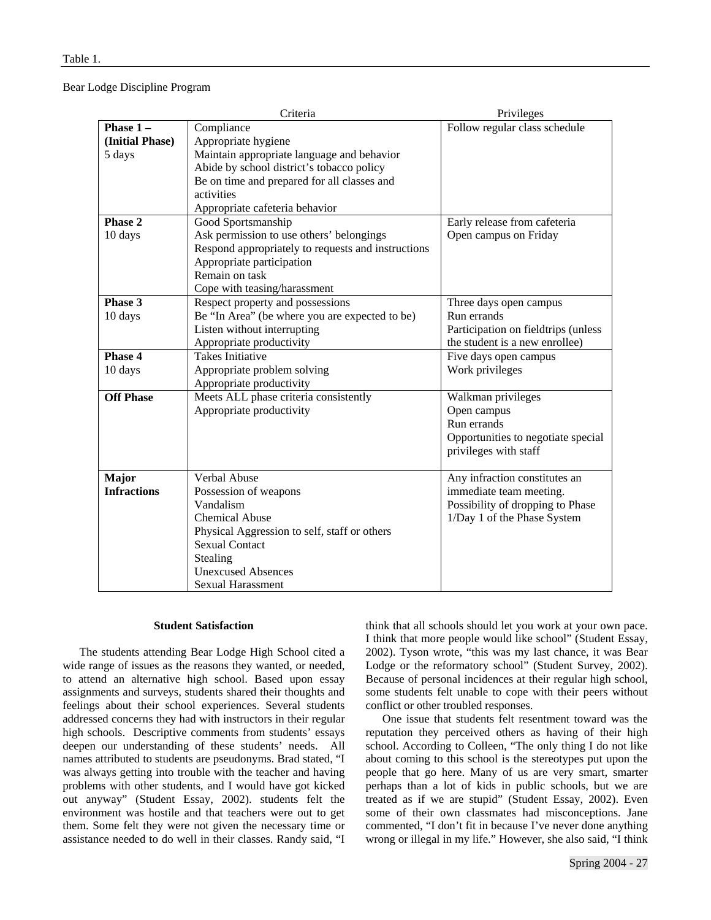#### Bear Lodge Discipline Program

|                    | Criteria                                           | Privileges                          |
|--------------------|----------------------------------------------------|-------------------------------------|
| Phase $1 -$        | Compliance                                         | Follow regular class schedule       |
| (Initial Phase)    | Appropriate hygiene                                |                                     |
| 5 days             | Maintain appropriate language and behavior         |                                     |
|                    | Abide by school district's tobacco policy          |                                     |
|                    | Be on time and prepared for all classes and        |                                     |
|                    | activities                                         |                                     |
|                    | Appropriate cafeteria behavior                     |                                     |
| Phase 2            | Good Sportsmanship                                 | Early release from cafeteria        |
| 10 days            | Ask permission to use others' belongings           | Open campus on Friday               |
|                    | Respond appropriately to requests and instructions |                                     |
|                    | Appropriate participation                          |                                     |
|                    | Remain on task                                     |                                     |
|                    | Cope with teasing/harassment                       |                                     |
| Phase 3            | Respect property and possessions                   | Three days open campus              |
| 10 days            | Be "In Area" (be where you are expected to be)     | Run errands                         |
|                    | Listen without interrupting                        | Participation on fieldtrips (unless |
|                    | Appropriate productivity                           | the student is a new enrollee)      |
| Phase 4            | <b>Takes Initiative</b>                            | Five days open campus               |
| 10 days            | Appropriate problem solving                        | Work privileges                     |
|                    | Appropriate productivity                           |                                     |
| <b>Off Phase</b>   | Meets ALL phase criteria consistently              | Walkman privileges                  |
|                    | Appropriate productivity                           | Open campus                         |
|                    |                                                    | Run errands                         |
|                    |                                                    | Opportunities to negotiate special  |
|                    |                                                    | privileges with staff               |
|                    |                                                    |                                     |
| Major              | Verbal Abuse                                       | Any infraction constitutes an       |
| <b>Infractions</b> | Possession of weapons                              | immediate team meeting.             |
|                    | Vandalism                                          | Possibility of dropping to Phase    |
|                    | <b>Chemical Abuse</b>                              | 1/Day 1 of the Phase System         |
|                    | Physical Aggression to self, staff or others       |                                     |
|                    | <b>Sexual Contact</b>                              |                                     |
|                    | Stealing                                           |                                     |
|                    | <b>Unexcused Absences</b>                          |                                     |
|                    | <b>Sexual Harassment</b>                           |                                     |

#### **Student Satisfaction**

The students attending Bear Lodge High School cited a wide range of issues as the reasons they wanted, or needed, to attend an alternative high school. Based upon essay assignments and surveys, students shared their thoughts and feelings about their school experiences. Several students addressed concerns they had with instructors in their regular high schools. Descriptive comments from students' essays deepen our understanding of these students' needs. All names attributed to students are pseudonyms. Brad stated, "I was always getting into trouble with the teacher and having problems with other students, and I would have got kicked out anyway" (Student Essay, 2002). students felt the environment was hostile and that teachers were out to get them. Some felt they were not given the necessary time or assistance needed to do well in their classes. Randy said, "I think that all schools should let you work at your own pace. I think that more people would like school" (Student Essay, 2002). Tyson wrote, "this was my last chance, it was Bear Lodge or the reformatory school" (Student Survey, 2002). Because of personal incidences at their regular high school, some students felt unable to cope with their peers without conflict or other troubled responses.

One issue that students felt resentment toward was the reputation they perceived others as having of their high school. According to Colleen, "The only thing I do not like about coming to this school is the stereotypes put upon the people that go here. Many of us are very smart, smarter perhaps than a lot of kids in public schools, but we are treated as if we are stupid" (Student Essay, 2002). Even some of their own classmates had misconceptions. Jane commented, "I don't fit in because I've never done anything wrong or illegal in my life." However, she also said, "I think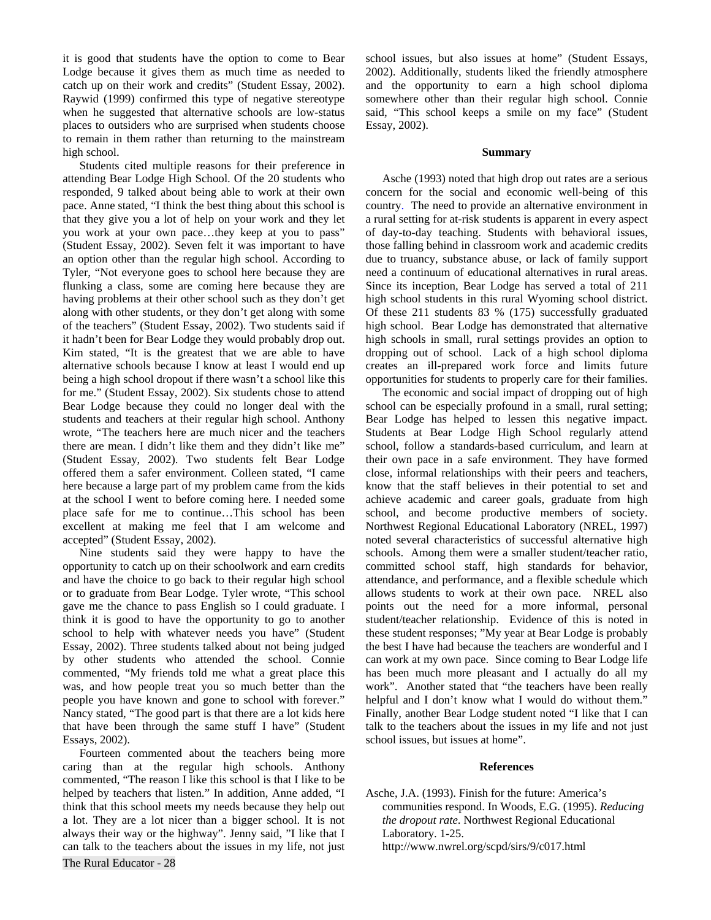it is good that students have the option to come to Bear Lodge because it gives them as much time as needed to catch up on their work and credits" (Student Essay, 2002). Raywid (1999) confirmed this type of negative stereotype when he suggested that alternative schools are low-status places to outsiders who are surprised when students choose to remain in them rather than returning to the mainstream high school.

Students cited multiple reasons for their preference in attending Bear Lodge High School. Of the 20 students who responded, 9 talked about being able to work at their own pace. Anne stated, "I think the best thing about this school is that they give you a lot of help on your work and they let you work at your own pace…they keep at you to pass" (Student Essay, 2002). Seven felt it was important to have an option other than the regular high school. According to Tyler, "Not everyone goes to school here because they are flunking a class, some are coming here because they are having problems at their other school such as they don't get along with other students, or they don't get along with some of the teachers" (Student Essay, 2002). Two students said if it hadn't been for Bear Lodge they would probably drop out. Kim stated, "It is the greatest that we are able to have alternative schools because I know at least I would end up being a high school dropout if there wasn't a school like this for me." (Student Essay, 2002). Six students chose to attend Bear Lodge because they could no longer deal with the students and teachers at their regular high school. Anthony wrote, "The teachers here are much nicer and the teachers there are mean. I didn't like them and they didn't like me" (Student Essay, 2002). Two students felt Bear Lodge offered them a safer environment. Colleen stated, "I came here because a large part of my problem came from the kids at the school I went to before coming here. I needed some place safe for me to continue…This school has been excellent at making me feel that I am welcome and accepted" (Student Essay, 2002).

Nine students said they were happy to have the opportunity to catch up on their schoolwork and earn credits and have the choice to go back to their regular high school or to graduate from Bear Lodge. Tyler wrote, "This school gave me the chance to pass English so I could graduate. I think it is good to have the opportunity to go to another school to help with whatever needs you have" (Student Essay, 2002). Three students talked about not being judged by other students who attended the school. Connie commented, "My friends told me what a great place this was, and how people treat you so much better than the people you have known and gone to school with forever." Nancy stated, "The good part is that there are a lot kids here that have been through the same stuff I have" (Student Essays, 2002).

The Rural Educator - 28 Fourteen commented about the teachers being more caring than at the regular high schools. Anthony commented, "The reason I like this school is that I like to be helped by teachers that listen." In addition, Anne added, "I think that this school meets my needs because they help out a lot. They are a lot nicer than a bigger school. It is not always their way or the highway". Jenny said, "I like that I can talk to the teachers about the issues in my life, not just

school issues, but also issues at home" (Student Essays, 2002). Additionally, students liked the friendly atmosphere and the opportunity to earn a high school diploma somewhere other than their regular high school. Connie said, "This school keeps a smile on my face" (Student Essay, 2002).

#### **Summary**

Asche (1993) noted that high drop out rates are a serious concern for the social and economic well-being of this country. The need to provide an alternative environment in a rural setting for at-risk students is apparent in every aspect of day-to-day teaching. Students with behavioral issues, those falling behind in classroom work and academic credits due to truancy, substance abuse, or lack of family support need a continuum of educational alternatives in rural areas. Since its inception, Bear Lodge has served a total of 211 high school students in this rural Wyoming school district. Of these 211 students 83 % (175) successfully graduated high school. Bear Lodge has demonstrated that alternative high schools in small, rural settings provides an option to dropping out of school. Lack of a high school diploma creates an ill-prepared work force and limits future opportunities for students to properly care for their families.

 The economic and social impact of dropping out of high school can be especially profound in a small, rural setting; Bear Lodge has helped to lessen this negative impact. Students at Bear Lodge High School regularly attend school, follow a standards-based curriculum, and learn at their own pace in a safe environment. They have formed close, informal relationships with their peers and teachers, know that the staff believes in their potential to set and achieve academic and career goals, graduate from high school, and become productive members of society. Northwest Regional Educational Laboratory (NREL, 1997) noted several characteristics of successful alternative high schools. Among them were a smaller student/teacher ratio, committed school staff, high standards for behavior, attendance, and performance, and a flexible schedule which allows students to work at their own pace. NREL also points out the need for a more informal, personal student/teacher relationship. Evidence of this is noted in these student responses; "My year at Bear Lodge is probably the best I have had because the teachers are wonderful and I can work at my own pace. Since coming to Bear Lodge life has been much more pleasant and I actually do all my work". Another stated that "the teachers have been really helpful and I don't know what I would do without them." Finally, another Bear Lodge student noted "I like that I can talk to the teachers about the issues in my life and not just school issues, but issues at home".

#### **References**

Asche, J.A. (1993). Finish for the future: America's communities respond. In Woods, E.G. (1995). *Reducing the dropout rate*. Northwest Regional Educational Laboratory. 1-25. http://www.nwrel.org/scpd/sirs/9/c017.html